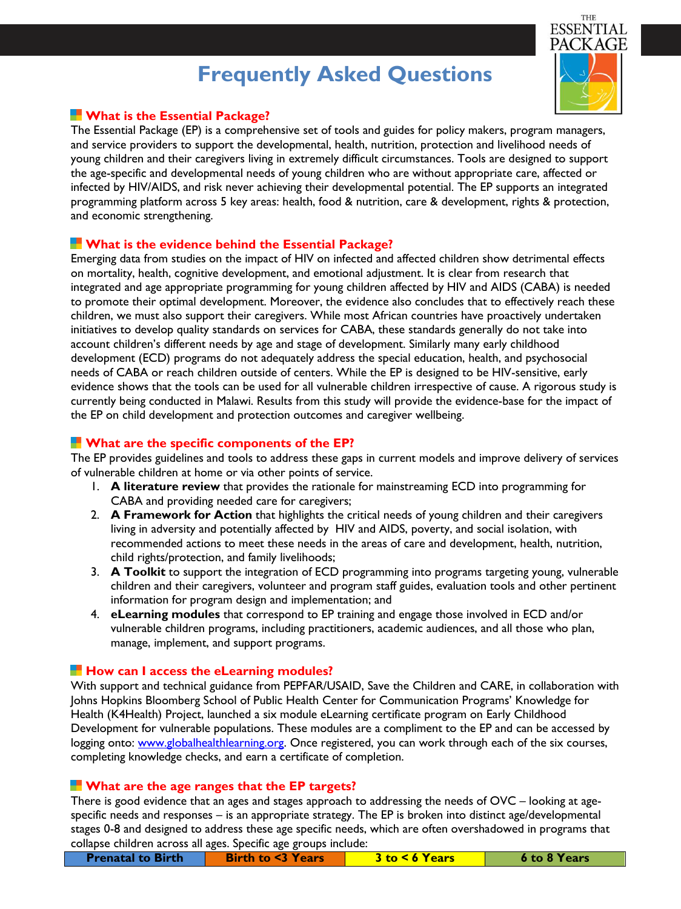# **Frequently Asked Questions**

THE **ESSENTIAL** PACK AGE

## **What is the Essential Package?**

The Essential Package (EP) is a comprehensive set of tools and guides for policy makers, program managers, and service providers to support the developmental, health, nutrition, protection and livelihood needs of young children and their caregivers living in extremely difficult circumstances. Tools are designed to support the age-specific and developmental needs of young children who are without appropriate care, affected or infected by HIV/AIDS, and risk never achieving their developmental potential. The EP supports an integrated programming platform across 5 key areas: health, food & nutrition, care & development, rights & protection, and economic strengthening.

### **What is the evidence behind the Essential Package?**

Emerging data from studies on the impact of HIV on infected and affected children show detrimental effects on mortality, health, cognitive development, and emotional adjustment. It is clear from research that integrated and age appropriate programming for young children affected by HIV and AIDS (CABA) is needed to promote their optimal development. Moreover, the evidence also concludes that to effectively reach these children, we must also support their caregivers. While most African countries have proactively undertaken initiatives to develop quality standards on services for CABA, these standards generally do not take into account children's different needs by age and stage of development. Similarly many early childhood development (ECD) programs do not adequately address the special education, health, and psychosocial needs of CABA or reach children outside of centers. While the EP is designed to be HIV-sensitive, early evidence shows that the tools can be used for all vulnerable children irrespective of cause. A rigorous study is currently being conducted in Malawi. Results from this study will provide the evidence-base for the impact of the EP on child development and protection outcomes and caregiver wellbeing.

## **What are the specific components of the EP?**

The EP provides guidelines and tools to address these gaps in current models and improve delivery of services of vulnerable children at home or via other points of service.

- 1. **A literature review** that provides the rationale for mainstreaming ECD into programming for CABA and providing needed care for caregivers;
- 2. **A Framework for Action** that highlights the critical needs of young children and their caregivers living in adversity and potentially affected by HIV and AIDS, poverty, and social isolation, with recommended actions to meet these needs in the areas of care and development, health, nutrition, child rights/protection, and family livelihoods;
- 3. **A Toolkit** to support the integration of ECD programming into programs targeting young, vulnerable children and their caregivers, volunteer and program staff guides, evaluation tools and other pertinent information for program design and implementation; and
- 4. **eLearning modules** that correspond to EP training and engage those involved in ECD and/or vulnerable children programs, including practitioners, academic audiences, and all those who plan, manage, implement, and support programs.

### **How can I access the eLearning modules?**

With support and technical guidance from PEPFAR/USAID, Save the Children and CARE, in collaboration with Johns Hopkins Bloomberg School of Public Health Center for Communication Programs' Knowledge for Health (K4Health) Project, launched a six module eLearning certificate program on Early Childhood Development for vulnerable populations. These modules are a compliment to the EP and can be accessed by logging onto: [www.globalhealthlearning.org.](http://www.globalhealthlearning.org/) Once registered, you can work through each of the six courses, completing knowledge checks, and earn a certificate of completion.

### **What are the age ranges that the EP targets?**

There is good evidence that an ages and stages approach to addressing the needs of OVC – looking at agespecific needs and responses – is an appropriate strategy. The EP is broken into distinct age/developmental stages 0-8 and designed to address these age specific needs, which are often overshadowed in programs that collapse children across all ages. Specific age groups include:

| <b>Prenatal to Birth</b> | <b>Birth to &lt;3 Years</b> | $3$ to $\leq 6$ Years | 6 to 8 Years |
|--------------------------|-----------------------------|-----------------------|--------------|
|                          |                             |                       |              |